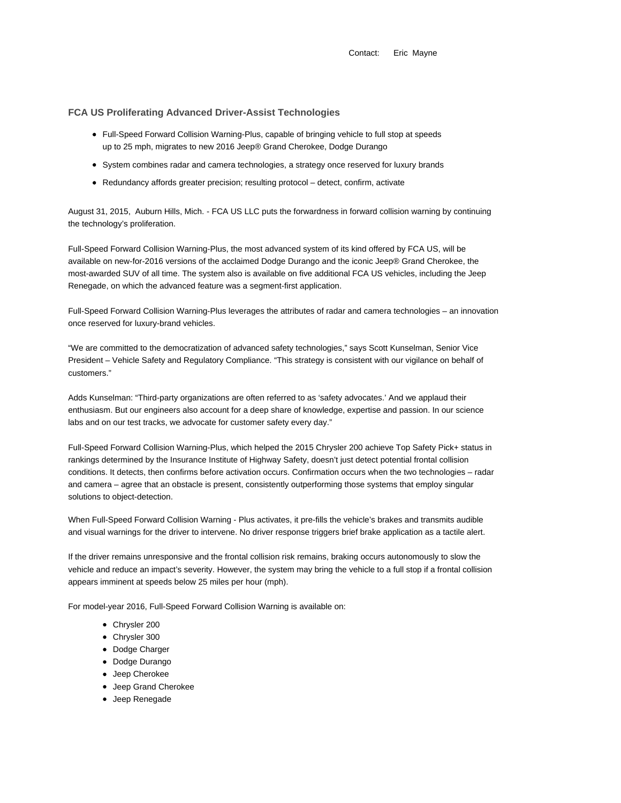Contact: Eric Mayne

# **FCA US Proliferating Advanced Driver-Assist Technologies**

- Full-Speed Forward Collision Warning-Plus, capable of bringing vehicle to full stop at speeds up to 25 mph, migrates to new 2016 Jeep® Grand Cherokee, Dodge Durango
- System combines radar and camera technologies, a strategy once reserved for luxury brands
- Redundancy affords greater precision; resulting protocol detect, confirm, activate

August 31, 2015, Auburn Hills, Mich. - FCA US LLC puts the forwardness in forward collision warning by continuing the technology's proliferation.

Full-Speed Forward Collision Warning-Plus, the most advanced system of its kind offered by FCA US, will be available on new-for-2016 versions of the acclaimed Dodge Durango and the iconic Jeep® Grand Cherokee, the most-awarded SUV of all time. The system also is available on five additional FCA US vehicles, including the Jeep Renegade, on which the advanced feature was a segment-first application.

Full-Speed Forward Collision Warning-Plus leverages the attributes of radar and camera technologies – an innovation once reserved for luxury-brand vehicles.

"We are committed to the democratization of advanced safety technologies," says Scott Kunselman, Senior Vice President – Vehicle Safety and Regulatory Compliance. "This strategy is consistent with our vigilance on behalf of customers."

Adds Kunselman: "Third-party organizations are often referred to as 'safety advocates.' And we applaud their enthusiasm. But our engineers also account for a deep share of knowledge, expertise and passion. In our science labs and on our test tracks, we advocate for customer safety every day."

Full-Speed Forward Collision Warning-Plus, which helped the 2015 Chrysler 200 achieve Top Safety Pick+ status in rankings determined by the Insurance Institute of Highway Safety, doesn't just detect potential frontal collision conditions. It detects, then confirms before activation occurs. Confirmation occurs when the two technologies – radar and camera – agree that an obstacle is present, consistently outperforming those systems that employ singular solutions to object-detection.

When Full-Speed Forward Collision Warning - Plus activates, it pre-fills the vehicle's brakes and transmits audible and visual warnings for the driver to intervene. No driver response triggers brief brake application as a tactile alert.

If the driver remains unresponsive and the frontal collision risk remains, braking occurs autonomously to slow the vehicle and reduce an impact's severity. However, the system may bring the vehicle to a full stop if a frontal collision appears imminent at speeds below 25 miles per hour (mph).

For model-year 2016, Full-Speed Forward Collision Warning is available on:

- Chrysler 200
- Chrysler 300
- Dodge Charger
- Dodge Durango
- Jeep Cherokee
- Jeep Grand Cherokee
- Jeep Renegade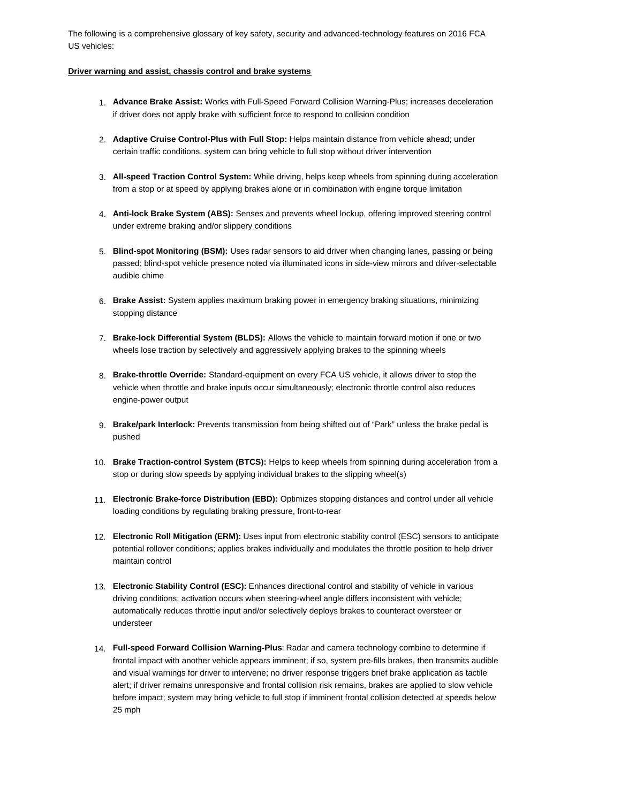The following is a comprehensive glossary of key safety, security and advanced-technology features on 2016 FCA US vehicles:

### **Driver warning and assist, chassis control and brake systems**

- 1. **Advance Brake Assist:** Works with Full-Speed Forward Collision Warning-Plus; increases deceleration if driver does not apply brake with sufficient force to respond to collision condition
- 2. **Adaptive Cruise Control-Plus with Full Stop:** Helps maintain distance from vehicle ahead; under certain traffic conditions, system can bring vehicle to full stop without driver intervention
- 3. **All-speed Traction Control System:** While driving, helps keep wheels from spinning during acceleration from a stop or at speed by applying brakes alone or in combination with engine torque limitation
- 4. **Anti-lock Brake System (ABS):** Senses and prevents wheel lockup, offering improved steering control under extreme braking and/or slippery conditions
- 5. **Blind-spot Monitoring (BSM):** Uses radar sensors to aid driver when changing lanes, passing or being passed; blind-spot vehicle presence noted via illuminated icons in side-view mirrors and driver-selectable audible chime
- 6. **Brake Assist:** System applies maximum braking power in emergency braking situations, minimizing stopping distance
- 7. **Brake-lock Differential System (BLDS):** Allows the vehicle to maintain forward motion if one or two wheels lose traction by selectively and aggressively applying brakes to the spinning wheels
- 8. **Brake-throttle Override:** Standard-equipment on every FCA US vehicle, it allows driver to stop the vehicle when throttle and brake inputs occur simultaneously; electronic throttle control also reduces engine-power output
- 9. **Brake/park Interlock:** Prevents transmission from being shifted out of "Park" unless the brake pedal is pushed
- 10. **Brake Traction-control System (BTCS):** Helps to keep wheels from spinning during acceleration from a stop or during slow speeds by applying individual brakes to the slipping wheel(s)
- 11. **Electronic Brake-force Distribution (EBD):** Optimizes stopping distances and control under all vehicle loading conditions by regulating braking pressure, front-to-rear
- 12. **Electronic Roll Mitigation (ERM):** Uses input from electronic stability control (ESC) sensors to anticipate potential rollover conditions; applies brakes individually and modulates the throttle position to help driver maintain control
- 13. **Electronic Stability Control (ESC):** Enhances directional control and stability of vehicle in various driving conditions; activation occurs when steering-wheel angle differs inconsistent with vehicle; automatically reduces throttle input and/or selectively deploys brakes to counteract oversteer or understeer
- 14. **Full-speed Forward Collision Warning-Plus**: Radar and camera technology combine to determine if frontal impact with another vehicle appears imminent; if so, system pre-fills brakes, then transmits audible and visual warnings for driver to intervene; no driver response triggers brief brake application as tactile alert; if driver remains unresponsive and frontal collision risk remains, brakes are applied to slow vehicle before impact; system may bring vehicle to full stop if imminent frontal collision detected at speeds below 25 mph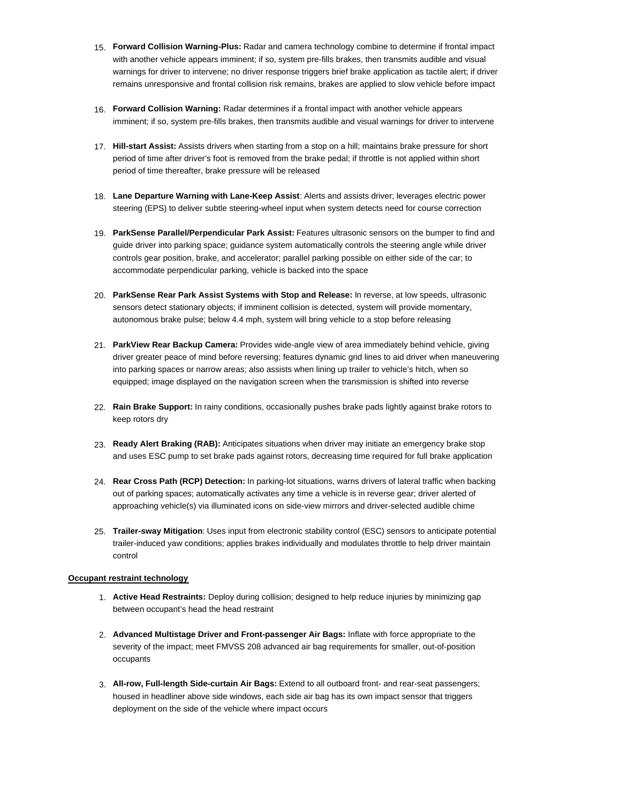- 15. **Forward Collision Warning-Plus:** Radar and camera technology combine to determine if frontal impact with another vehicle appears imminent; if so, system pre-fills brakes, then transmits audible and visual warnings for driver to intervene; no driver response triggers brief brake application as tactile alert; if driver remains unresponsive and frontal collision risk remains, brakes are applied to slow vehicle before impact
- 16. **Forward Collision Warning:** Radar determines if a frontal impact with another vehicle appears imminent; if so, system pre-fills brakes, then transmits audible and visual warnings for driver to intervene
- 17. **Hill-start Assist:** Assists drivers when starting from a stop on a hill; maintains brake pressure for short period of time after driver's foot is removed from the brake pedal; if throttle is not applied within short period of time thereafter, brake pressure will be released
- 18. **Lane Departure Warning with Lane-Keep Assist**: Alerts and assists driver; leverages electric power steering (EPS) to deliver subtle steering-wheel input when system detects need for course correction
- 19. **ParkSense Parallel/Perpendicular Park Assist:** Features ultrasonic sensors on the bumper to find and guide driver into parking space; guidance system automatically controls the steering angle while driver controls gear position, brake, and accelerator; parallel parking possible on either side of the car; to accommodate perpendicular parking, vehicle is backed into the space
- 20. **ParkSense Rear Park Assist Systems with Stop and Release:** ln reverse, at low speeds, ultrasonic sensors detect stationary objects; if imminent collision is detected, system will provide momentary, autonomous brake pulse; below 4.4 mph, system will bring vehicle to a stop before releasing
- 21. **ParkView Rear Backup Camera:** Provides wide-angle view of area immediately behind vehicle, giving driver greater peace of mind before reversing; features dynamic grid lines to aid driver when maneuvering into parking spaces or narrow areas; also assists when lining up trailer to vehicle's hitch, when so equipped; image displayed on the navigation screen when the transmission is shifted into reverse
- 22. **Rain Brake Support:** In rainy conditions, occasionally pushes brake pads lightly against brake rotors to keep rotors dry
- 23. **Ready Alert Braking (RAB):** Anticipates situations when driver may initiate an emergency brake stop and uses ESC pump to set brake pads against rotors, decreasing time required for full brake application
- 24. **Rear Cross Path (RCP) Detection:** In parking-lot situations, warns drivers of lateral traffic when backing out of parking spaces; automatically activates any time a vehicle is in reverse gear; driver alerted of approaching vehicle(s) via illuminated icons on side-view mirrors and driver-selected audible chime
- 25. **Trailer-sway Mitigation**: Uses input from electronic stability control (ESC) sensors to anticipate potential trailer-induced yaw conditions; applies brakes individually and modulates throttle to help driver maintain control

## **Occupant restraint technology**

- 1. **Active Head Restraints:** Deploy during collision; designed to help reduce injuries by minimizing gap between occupant's head the head restraint
- 2. **Advanced Multistage Driver and Front-passenger Air Bags:** Inflate with force appropriate to the severity of the impact; meet FMVSS 208 advanced air bag requirements for smaller, out-of-position occupants
- 3. **All-row, Full-length Side-curtain Air Bags:** Extend to all outboard front- and rear-seat passengers; housed in headliner above side windows, each side air bag has its own impact sensor that triggers deployment on the side of the vehicle where impact occurs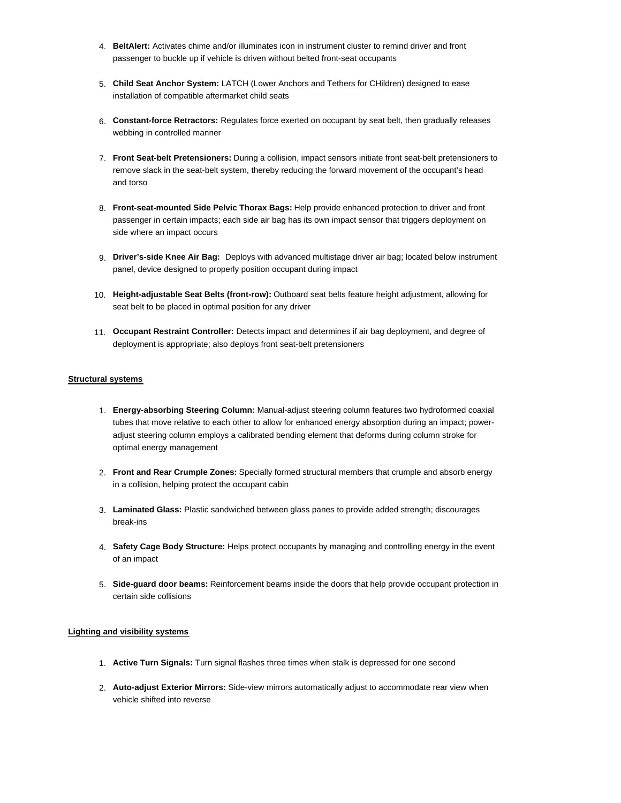- 4. **BeltAlert:** Activates chime and/or illuminates icon in instrument cluster to remind driver and front passenger to buckle up if vehicle is driven without belted front-seat occupants
- 5. **Child Seat Anchor System:** LATCH (Lower Anchors and Tethers for CHildren) designed to ease installation of compatible aftermarket child seats
- 6. **Constant-force Retractors:** Regulates force exerted on occupant by seat belt, then gradually releases webbing in controlled manner
- 7. **Front Seat-belt Pretensioners:** During a collision, impact sensors initiate front seat-belt pretensioners to remove slack in the seat-belt system, thereby reducing the forward movement of the occupant's head and torso
- 8. **Front-seat-mounted Side Pelvic Thorax Bags:** Help provide enhanced protection to driver and front passenger in certain impacts; each side air bag has its own impact sensor that triggers deployment on side where an impact occurs
- 9. **Driver's-side Knee Air Bag:** Deploys with advanced multistage driver air bag; located below instrument panel, device designed to properly position occupant during impact
- 10. **Height-adjustable Seat Belts (front-row):** Outboard seat belts feature height adjustment, allowing for seat belt to be placed in optimal position for any driver
- 11. **Occupant Restraint Controller:** Detects impact and determines if air bag deployment, and degree of deployment is appropriate; also deploys front seat-belt pretensioners

## **Structural systems**

- 1. **Energy-absorbing Steering Column:** Manual-adjust steering column features two hydroformed coaxial tubes that move relative to each other to allow for enhanced energy absorption during an impact; poweradjust steering column employs a calibrated bending element that deforms during column stroke for optimal energy management
- 2. **Front and Rear Crumple Zones:** Specially formed structural members that crumple and absorb energy in a collision, helping protect the occupant cabin
- 3. **Laminated Glass:** Plastic sandwiched between glass panes to provide added strength; discourages break-ins
- 4. **Safety Cage Body Structure:** Helps protect occupants by managing and controlling energy in the event of an impact
- 5. **Side-guard door beams:** Reinforcement beams inside the doors that help provide occupant protection in certain side collisions

## **Lighting and visibility systems**

- 1. **Active Turn Signals:** Turn signal flashes three times when stalk is depressed for one second
- 2. **Auto-adjust Exterior Mirrors:** Side-view mirrors automatically adjust to accommodate rear view when vehicle shifted into reverse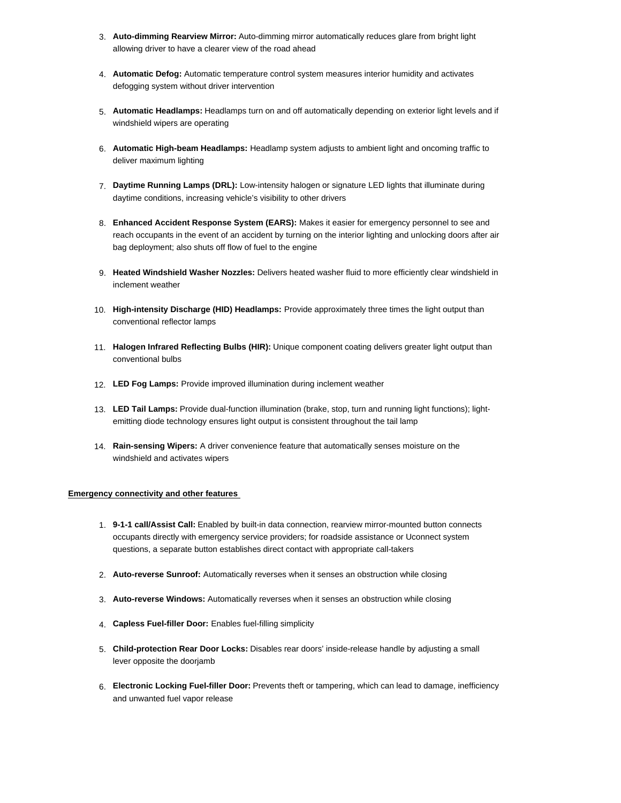- 3. **Auto-dimming Rearview Mirror:** Auto-dimming mirror automatically reduces glare from bright light allowing driver to have a clearer view of the road ahead
- 4. **Automatic Defog:** Automatic temperature control system measures interior humidity and activates defogging system without driver intervention
- 5. **Automatic Headlamps:** Headlamps turn on and off automatically depending on exterior light levels and if windshield wipers are operating
- 6. **Automatic High-beam Headlamps:** Headlamp system adjusts to ambient light and oncoming traffic to deliver maximum lighting
- 7. **Daytime Running Lamps (DRL):** Low-intensity halogen or signature LED lights that illuminate during daytime conditions, increasing vehicle's visibility to other drivers
- 8. **Enhanced Accident Response System (EARS):** Makes it easier for emergency personnel to see and reach occupants in the event of an accident by turning on the interior lighting and unlocking doors after air bag deployment; also shuts off flow of fuel to the engine
- 9. **Heated Windshield Washer Nozzles:** Delivers heated washer fluid to more efficiently clear windshield in inclement weather
- 10. **High-intensity Discharge (HID) Headlamps:** Provide approximately three times the light output than conventional reflector lamps
- 11. **Halogen Infrared Reflecting Bulbs (HIR):** Unique component coating delivers greater light output than conventional bulbs
- 12. **LED Fog Lamps:** Provide improved illumination during inclement weather
- 13. **LED Tail Lamps:** Provide dual-function illumination (brake, stop, turn and running light functions); lightemitting diode technology ensures light output is consistent throughout the tail lamp
- 14. **Rain-sensing Wipers:** A driver convenience feature that automatically senses moisture on the windshield and activates wipers

## **Emergency connectivity and other features**

- 1. **9-1-1 call/Assist Call:** Enabled by built-in data connection, rearview mirror-mounted button connects occupants directly with emergency service providers; for roadside assistance or Uconnect system questions, a separate button establishes direct contact with appropriate call-takers
- 2. **Auto-reverse Sunroof:** Automatically reverses when it senses an obstruction while closing
- 3. **Auto-reverse Windows:** Automatically reverses when it senses an obstruction while closing
- 4. **Capless Fuel-filler Door:** Enables fuel-filling simplicity
- 5. **Child-protection Rear Door Locks:** Disables rear doors' inside-release handle by adjusting a small lever opposite the doorjamb
- 6. **Electronic Locking Fuel-filler Door:** Prevents theft or tampering, which can lead to damage, inefficiency and unwanted fuel vapor release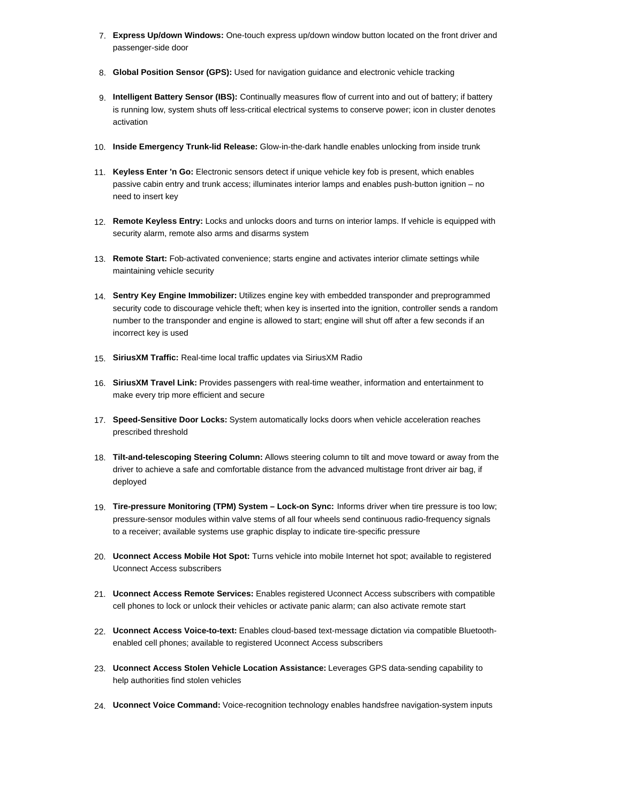- 7. **Express Up/down Windows:** One-touch express up/down window button located on the front driver and passenger-side door
- 8. **Global Position Sensor (GPS):** Used for navigation guidance and electronic vehicle tracking
- 9. **Intelligent Battery Sensor (IBS):** Continually measures flow of current into and out of battery; if battery is running low, system shuts off less-critical electrical systems to conserve power; icon in cluster denotes activation
- 10. **Inside Emergency Trunk-lid Release:** Glow-in-the-dark handle enables unlocking from inside trunk
- 11. **Keyless Enter 'n Go:** Electronic sensors detect if unique vehicle key fob is present, which enables passive cabin entry and trunk access; illuminates interior lamps and enables push-button ignition – no need to insert key
- 12. **Remote Keyless Entry:** Locks and unlocks doors and turns on interior lamps. If vehicle is equipped with security alarm, remote also arms and disarms system
- 13. **Remote Start:** Fob-activated convenience; starts engine and activates interior climate settings while maintaining vehicle security
- 14. **Sentry Key Engine Immobilizer:** Utilizes engine key with embedded transponder and preprogrammed security code to discourage vehicle theft; when key is inserted into the ignition, controller sends a random number to the transponder and engine is allowed to start; engine will shut off after a few seconds if an incorrect key is used
- 15. **SiriusXM Traffic:** Real-time local traffic updates via SiriusXM Radio
- 16. **SiriusXM Travel Link:** Provides passengers with real-time weather, information and entertainment to make every trip more efficient and secure
- 17. **Speed-Sensitive Door Locks:** System automatically locks doors when vehicle acceleration reaches prescribed threshold
- 18. **Tilt-and-telescoping Steering Column:** Allows steering column to tilt and move toward or away from the driver to achieve a safe and comfortable distance from the advanced multistage front driver air bag, if deployed
- 19. **Tire-pressure Monitoring (TPM) System Lock-on Sync:** Informs driver when tire pressure is too low; pressure-sensor modules within valve stems of all four wheels send continuous radio-frequency signals to a receiver; available systems use graphic display to indicate tire-specific pressure
- 20. **Uconnect Access Mobile Hot Spot:** Turns vehicle into mobile Internet hot spot; available to registered Uconnect Access subscribers
- 21. **Uconnect Access Remote Services:** Enables registered Uconnect Access subscribers with compatible cell phones to lock or unlock their vehicles or activate panic alarm; can also activate remote start
- 22. **Uconnect Access Voice-to-text:** Enables cloud-based text-message dictation via compatible Bluetoothenabled cell phones; available to registered Uconnect Access subscribers
- 23. **Uconnect Access Stolen Vehicle Location Assistance:** Leverages GPS data-sending capability to help authorities find stolen vehicles
- 24. **Uconnect Voice Command:** Voice-recognition technology enables handsfree navigation-system inputs